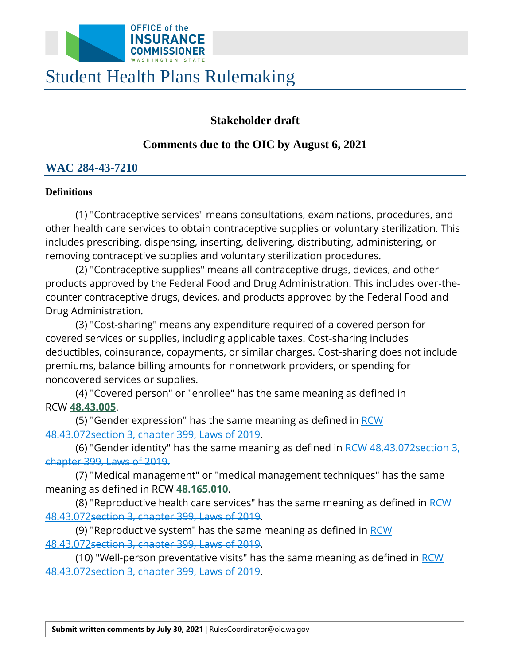

# Student Health Plans Rulemaking

# **Stakeholder draft**

## **Comments due to the OIC by August 6, 2021**

# **WAC 284-43-7210**

## **Definitions**

(1) "Contraceptive services" means consultations, examinations, procedures, and other health care services to obtain contraceptive supplies or voluntary sterilization. This includes prescribing, dispensing, inserting, delivering, distributing, administering, or removing contraceptive supplies and voluntary sterilization procedures.

 counter contraceptive drugs, devices, and products approved by the Federal Food and (2) "Contraceptive supplies" means all contraceptive drugs, devices, and other products approved by the Federal Food and Drug Administration. This includes over-the-Drug Administration.

(3) "Cost-sharing" means any expenditure required of a covered person for covered services or supplies, including applicable taxes. Cost-sharing includes deductibles, coinsurance, copayments, or similar charges. Cost-sharing does not include premiums, balance billing amounts for nonnetwork providers, or spending for noncovered services or supplies.

(4) "Covered person" or "enrollee" has the same meaning as defined in RCW **[48.43.005](http://app.leg.wa.gov/RCW/default.aspx?cite=48.43.005)**.

(5) "Gender expression" has the same meaning as defined in <u>RCW</u> 48.43.072section 3, chapter 399, Laws of 2019.

(6) "Gender identity" has the same meaning as defined in RCW 48.43.072section 3, chapter 399, Laws of 2019.

(7) "Medical management" or "medical management techniques" has the same meaning as defined in RCW **[48.165.010](http://app.leg.wa.gov/RCW/default.aspx?cite=48.165.010)**.

(8) "Reproductive health care services" has the same meaning as defined in <u>RCW</u> 48.43.072section 3, chapter 399, Laws of 2019.

(9) "Reproductive system" has the same meaning as defined in RCW 48.43.072section 3, chapter 399, Laws of 2019.

(10) "Well-person preventative visits" has the same meaning as defined in RCW 48.43.072section 3, chapter 399, Laws of 2019.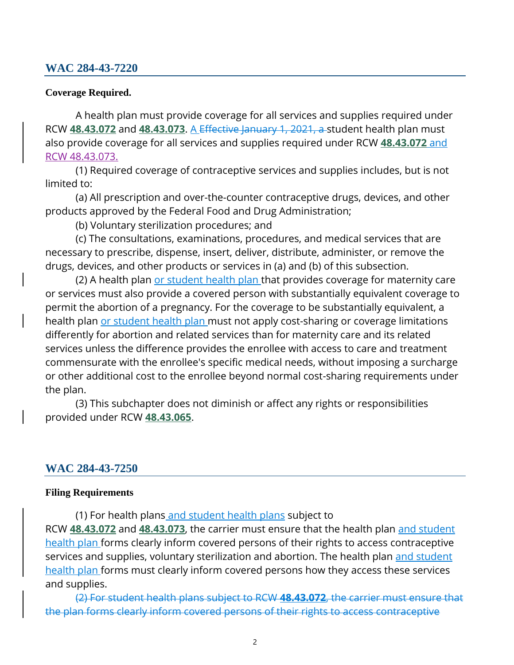## **WAC 284-43-7220**

#### **Coverage Required.**

A health plan must provide coverage for all services and supplies required under RCW **[48.43.072](http://app.leg.wa.gov/RCW/default.aspx?cite=48.43.072)** and **[48.43.073](http://app.leg.wa.gov/RCW/default.aspx?cite=48.43.073)**. A Effective January 1, 2021, a student health plan must also provide coverage for all services and supplies required under RCW **[48.43.072](http://app.leg.wa.gov/RCW/default.aspx?cite=48.43.072)** and [RCW 48.43.073.](http://app.leg.wa.gov/RCW/default.aspx?cite=48.43.073) 

(1) Required coverage of contraceptive services and supplies includes, but is not limited to:

(a) All prescription and over-the-counter contraceptive drugs, devices, and other products approved by the Federal Food and Drug Administration;

(b) Voluntary sterilization procedures; and

(c) The consultations, examinations, procedures, and medical services that are necessary to prescribe, dispense, insert, deliver, distribute, administer, or remove the drugs, devices, and other products or services in (a) and (b) of this subsection.

health plan <u>or student health plan </u>must not apply cost-sharing or coverage limitations (2) A health plan or student health plan that provides coverage for maternity care or services must also provide a covered person with substantially equivalent coverage to permit the abortion of a pregnancy. For the coverage to be substantially equivalent, a differently for abortion and related services than for maternity care and its related services unless the difference provides the enrollee with access to care and treatment commensurate with the enrollee's specific medical needs, without imposing a surcharge or other additional cost to the enrollee beyond normal cost-sharing requirements under the plan.

(3) This subchapter does not diminish or affect any rights or responsibilities provided under RCW **[48.43.065](http://app.leg.wa.gov/RCW/default.aspx?cite=48.43.065)**.

#### **WAC 284-43-7250**

#### **Filing Requirements**

(1) For health plans and student health plans subject to RCW **[48.43.072](http://app.leg.wa.gov/RCW/default.aspx?cite=48.43.072)** and **[48.43.073](http://app.leg.wa.gov/RCW/default.aspx?cite=48.43.073)**, the carrier must ensure that the health plan and student health plan forms clearly inform covered persons of their rights to access contraceptive services and supplies, voluntary sterilization and abortion. The health plan and student health plan forms must clearly inform covered persons how they access these services and supplies.

(2) For student health plans subject to RCW **48.43.072**, the carrier must ensure that the plan forms clearly inform covered persons of their rights to access contraceptive